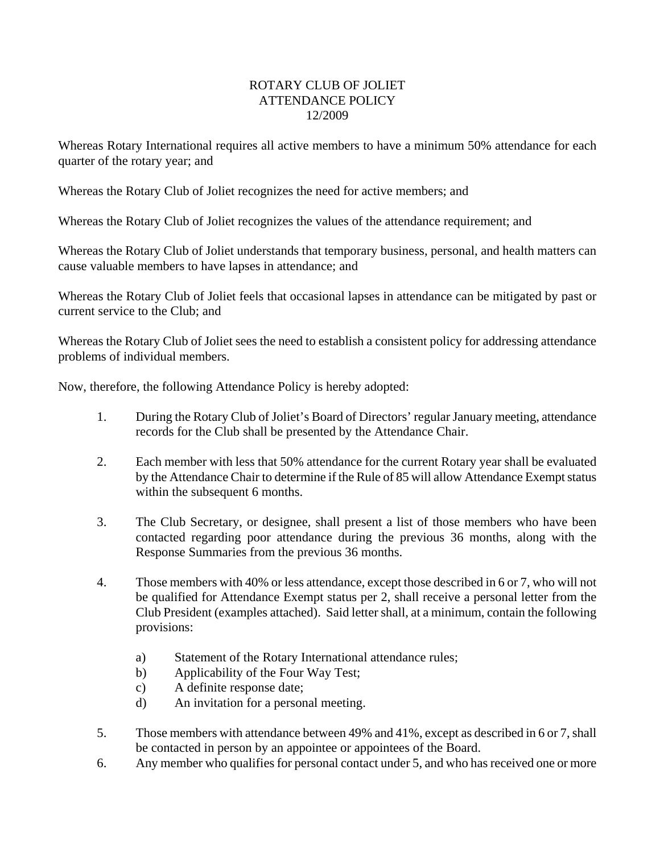## ROTARY CLUB OF JOLIET ATTENDANCE POLICY 12/2009

Whereas Rotary International requires all active members to have a minimum 50% attendance for each quarter of the rotary year; and

Whereas the Rotary Club of Joliet recognizes the need for active members; and

Whereas the Rotary Club of Joliet recognizes the values of the attendance requirement; and

Whereas the Rotary Club of Joliet understands that temporary business, personal, and health matters can cause valuable members to have lapses in attendance; and

Whereas the Rotary Club of Joliet feels that occasional lapses in attendance can be mitigated by past or current service to the Club; and

Whereas the Rotary Club of Joliet sees the need to establish a consistent policy for addressing attendance problems of individual members.

Now, therefore, the following Attendance Policy is hereby adopted:

- 1. During the Rotary Club of Joliet's Board of Directors' regular January meeting, attendance records for the Club shall be presented by the Attendance Chair.
- 2. Each member with less that 50% attendance for the current Rotary year shall be evaluated by the Attendance Chair to determine if the Rule of 85 will allow Attendance Exempt status within the subsequent 6 months.
- 3. The Club Secretary, or designee, shall present a list of those members who have been contacted regarding poor attendance during the previous 36 months, along with the Response Summaries from the previous 36 months.
- 4. Those members with 40% or less attendance, except those described in 6 or 7, who will not be qualified for Attendance Exempt status per 2, shall receive a personal letter from the Club President (examples attached). Said letter shall, at a minimum, contain the following provisions:
	- a) Statement of the Rotary International attendance rules;
	- b) Applicability of the Four Way Test;
	- c) A definite response date;
	- d) An invitation for a personal meeting.
- 5. Those members with attendance between 49% and 41%, except as described in 6 or 7, shall be contacted in person by an appointee or appointees of the Board.
- 6. Any member who qualifies for personal contact under 5, and who has received one or more